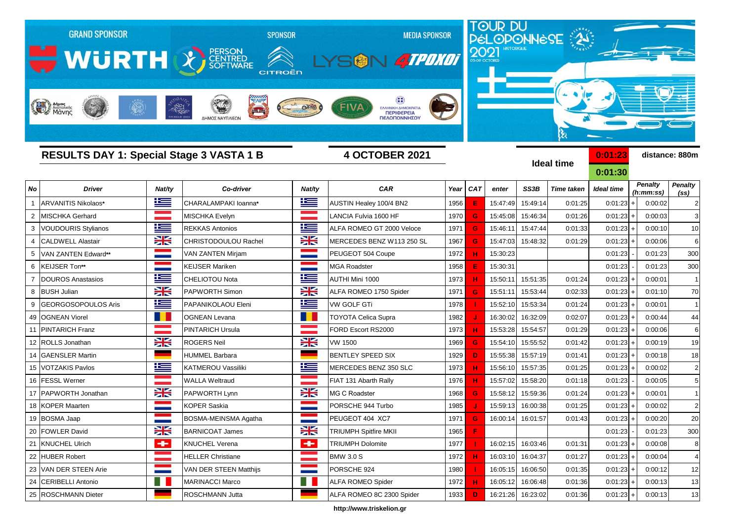

**http://www.triskelion.gr**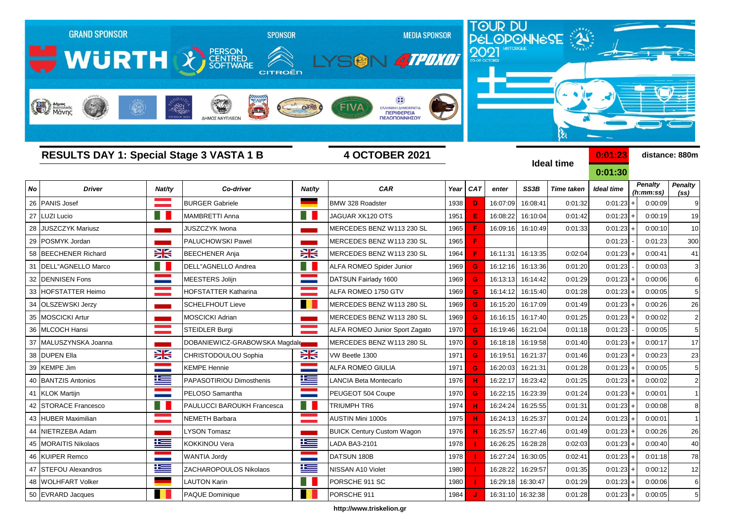

**http://www.triskelion.gr**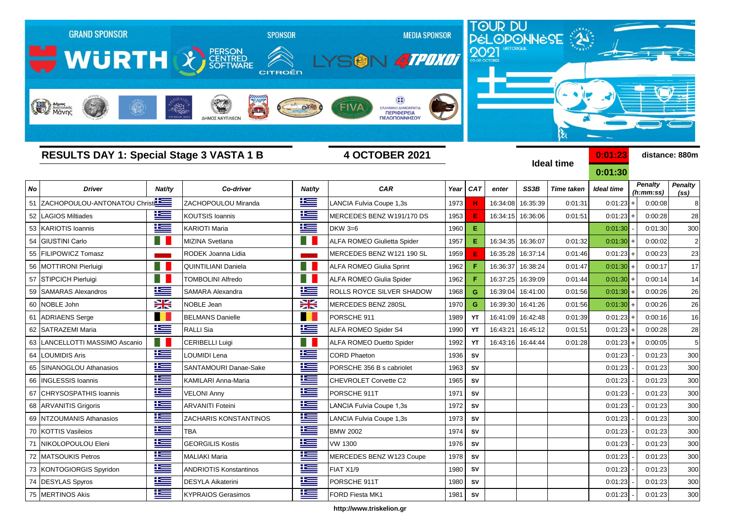

 DESYLAS Spyros DESYLA Aikaterini PORSCHE 911T 1980 **SV** 0:01:23 - 0:01:23 300 MERTINOS Akis KYPRAIOS Gerasimos FORD Fiesta MK1 1981 **SV** 0:01:23 - 0:01:23 300